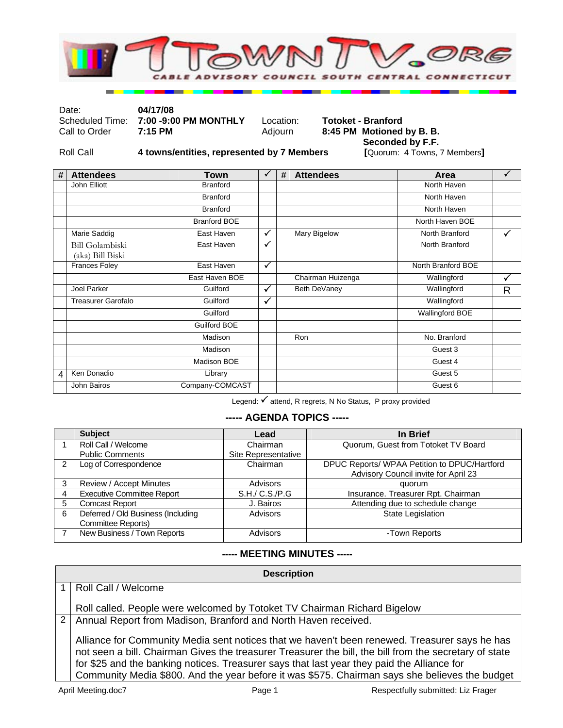

Date: **04/17/08** 

Scheduled Time: **7:00 -9:00 PM MONTHLY** Location: **Totoket - Branford**<br>Call to Order **7:15 PM MONTHLY** Adjourn **8:45 PM Motioned** 

8:45 PM Motioned by B. B.

Roll Call **4 towns/entities, represented by 7 Members** 

**Seconded by F.F.**<br>[Quorum: 4 Towns, 7 Members]

| # | <b>Attendees</b>                           | Town                | $\checkmark$ | # | <b>Attendees</b>  | Area               | $\checkmark$ |
|---|--------------------------------------------|---------------------|--------------|---|-------------------|--------------------|--------------|
|   | John Elliott                               | <b>Branford</b>     |              |   |                   | North Haven        |              |
|   |                                            | <b>Branford</b>     |              |   |                   | North Haven        |              |
|   |                                            | <b>Branford</b>     |              |   |                   | North Haven        |              |
|   |                                            | <b>Branford BOE</b> |              |   |                   | North Haven BOE    |              |
|   | Marie Saddig                               | East Haven          | $\checkmark$ |   | Mary Bigelow      | North Branford     | $\checkmark$ |
|   | <b>Bill Golambiski</b><br>(aka) Bill Biski | East Haven          | $\checkmark$ |   |                   | North Branford     |              |
|   | Frances Foley                              | East Haven          | $\checkmark$ |   |                   | North Branford BOE |              |
|   |                                            | East Haven BOE      |              |   | Chairman Huizenga | Wallingford        | ✓            |
|   | Joel Parker                                | Guilford            | ✓            |   | Beth DeVaney      | Wallingford        | R            |
|   | <b>Treasurer Garofalo</b>                  | Guilford            | $\checkmark$ |   |                   | Wallingford        |              |
|   |                                            | Guilford            |              |   |                   | Wallingford BOE    |              |
|   |                                            | <b>Guilford BOE</b> |              |   |                   |                    |              |
|   |                                            | Madison             |              |   | Ron               | No. Branford       |              |
|   |                                            | Madison             |              |   |                   | Guest 3            |              |
|   |                                            | Madison BOE         |              |   |                   | Guest 4            |              |
| 4 | Ken Donadio                                | Library             |              |   |                   | Guest 5            |              |
|   | John Bairos                                | Company-COMCAST     |              |   |                   | Guest 6            |              |

Legend: √ attend, R regrets, N No Status, P proxy provided

## **----- AGENDA TOPICS -----**

|   | <b>Subject</b>                                                  | Lead                | In Brief                                                                             |
|---|-----------------------------------------------------------------|---------------------|--------------------------------------------------------------------------------------|
|   | Roll Call / Welcome                                             | Chairman            | Quorum, Guest from Totoket TV Board                                                  |
|   | <b>Public Comments</b>                                          | Site Representative |                                                                                      |
|   | Log of Correspondence                                           | Chairman            | DPUC Reports/ WPAA Petition to DPUC/Hartford<br>Advisory Council invite for April 23 |
|   | Review / Accept Minutes                                         | <b>Advisors</b>     | quorum                                                                               |
| 4 | <b>Executive Committee Report</b>                               | S.H./ C.S./P.G      | Insurance. Treasurer Rpt. Chairman                                                   |
| 5 | <b>Comcast Report</b>                                           | J. Bairos           | Attending due to schedule change                                                     |
| 6 | Deferred / Old Business (Including<br><b>Committee Reports)</b> | Advisors            | <b>State Legislation</b>                                                             |
|   | New Business / Town Reports                                     | <b>Advisors</b>     | -Town Reports                                                                        |

## **----- MEETING MINUTES -----**

| <b>Description</b> |                                                                                                                                                                                                                                                                                                                                                                                                         |  |  |  |
|--------------------|---------------------------------------------------------------------------------------------------------------------------------------------------------------------------------------------------------------------------------------------------------------------------------------------------------------------------------------------------------------------------------------------------------|--|--|--|
|                    | Roll Call / Welcome                                                                                                                                                                                                                                                                                                                                                                                     |  |  |  |
|                    | Roll called. People were welcomed by Totoket TV Chairman Richard Bigelow                                                                                                                                                                                                                                                                                                                                |  |  |  |
| $\overline{2}$     | Annual Report from Madison, Branford and North Haven received.                                                                                                                                                                                                                                                                                                                                          |  |  |  |
|                    | Alliance for Community Media sent notices that we haven't been renewed. Treasurer says he has<br>not seen a bill. Chairman Gives the treasurer Treasurer the bill, the bill from the secretary of state<br>for \$25 and the banking notices. Treasurer says that last year they paid the Alliance for<br>Community Media \$800. And the year before it was \$575. Chairman says she believes the budget |  |  |  |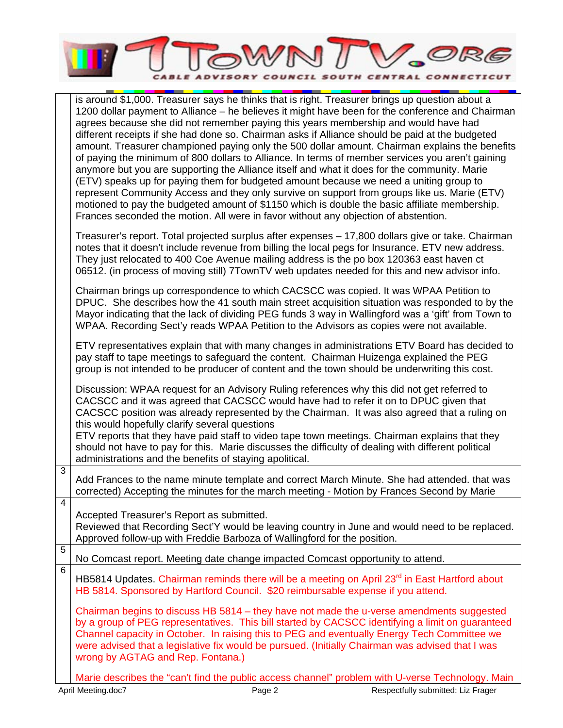

|                         | is around \$1,000. Treasurer says he thinks that is right. Treasurer brings up question about a<br>1200 dollar payment to Alliance – he believes it might have been for the conference and Chairman<br>agrees because she did not remember paying this years membership and would have had<br>different receipts if she had done so. Chairman asks if Alliance should be paid at the budgeted<br>amount. Treasurer championed paying only the 500 dollar amount. Chairman explains the benefits<br>of paying the minimum of 800 dollars to Alliance. In terms of member services you aren't gaining<br>anymore but you are supporting the Alliance itself and what it does for the community. Marie<br>(ETV) speaks up for paying them for budgeted amount because we need a uniting group to<br>represent Community Access and they only survive on support from groups like us. Marie (ETV)<br>motioned to pay the budgeted amount of \$1150 which is double the basic affiliate membership.<br>Frances seconded the motion. All were in favor without any objection of abstention. |
|-------------------------|---------------------------------------------------------------------------------------------------------------------------------------------------------------------------------------------------------------------------------------------------------------------------------------------------------------------------------------------------------------------------------------------------------------------------------------------------------------------------------------------------------------------------------------------------------------------------------------------------------------------------------------------------------------------------------------------------------------------------------------------------------------------------------------------------------------------------------------------------------------------------------------------------------------------------------------------------------------------------------------------------------------------------------------------------------------------------------------|
|                         | Treasurer's report. Total projected surplus after expenses - 17,800 dollars give or take. Chairman<br>notes that it doesn't include revenue from billing the local pegs for Insurance. ETV new address.<br>They just relocated to 400 Coe Avenue mailing address is the po box 120363 east haven ct<br>06512. (in process of moving still) 7TownTV web updates needed for this and new advisor info.                                                                                                                                                                                                                                                                                                                                                                                                                                                                                                                                                                                                                                                                                  |
|                         | Chairman brings up correspondence to which CACSCC was copied. It was WPAA Petition to<br>DPUC. She describes how the 41 south main street acquisition situation was responded to by the<br>Mayor indicating that the lack of dividing PEG funds 3 way in Wallingford was a 'gift' from Town to<br>WPAA. Recording Sect'y reads WPAA Petition to the Advisors as copies were not available.                                                                                                                                                                                                                                                                                                                                                                                                                                                                                                                                                                                                                                                                                            |
|                         | ETV representatives explain that with many changes in administrations ETV Board has decided to<br>pay staff to tape meetings to safeguard the content. Chairman Huizenga explained the PEG<br>group is not intended to be producer of content and the town should be underwriting this cost.                                                                                                                                                                                                                                                                                                                                                                                                                                                                                                                                                                                                                                                                                                                                                                                          |
|                         | Discussion: WPAA request for an Advisory Ruling references why this did not get referred to<br>CACSCC and it was agreed that CACSCC would have had to refer it on to DPUC given that<br>CACSCC position was already represented by the Chairman. It was also agreed that a ruling on<br>this would hopefully clarify several questions<br>ETV reports that they have paid staff to video tape town meetings. Chairman explains that they<br>should not have to pay for this. Marie discusses the difficulty of dealing with different political<br>administrations and the benefits of staying apolitical.                                                                                                                                                                                                                                                                                                                                                                                                                                                                            |
| 3                       | Add Frances to the name minute template and correct March Minute. She had attended. that was<br>corrected) Accepting the minutes for the march meeting - Motion by Frances Second by Marie                                                                                                                                                                                                                                                                                                                                                                                                                                                                                                                                                                                                                                                                                                                                                                                                                                                                                            |
| $\overline{\mathbf{4}}$ | Accepted Treasurer's Report as submitted.<br>Reviewed that Recording Sect'Y would be leaving country in June and would need to be replaced.<br>Approved follow-up with Freddie Barboza of Wallingford for the position.                                                                                                                                                                                                                                                                                                                                                                                                                                                                                                                                                                                                                                                                                                                                                                                                                                                               |
| $\overline{5}$          | No Comcast report. Meeting date change impacted Comcast opportunity to attend.                                                                                                                                                                                                                                                                                                                                                                                                                                                                                                                                                                                                                                                                                                                                                                                                                                                                                                                                                                                                        |
| $\overline{6}$          | HB5814 Updates. Chairman reminds there will be a meeting on April 23 <sup>rd</sup> in East Hartford about<br>HB 5814. Sponsored by Hartford Council. \$20 reimbursable expense if you attend.                                                                                                                                                                                                                                                                                                                                                                                                                                                                                                                                                                                                                                                                                                                                                                                                                                                                                         |
|                         | Chairman begins to discuss HB 5814 - they have not made the u-verse amendments suggested<br>by a group of PEG representatives. This bill started by CACSCC identifying a limit on guaranteed<br>Channel capacity in October. In raising this to PEG and eventually Energy Tech Committee we<br>were advised that a legislative fix would be pursued. (Initially Chairman was advised that I was<br>wrong by AGTAG and Rep. Fontana.)                                                                                                                                                                                                                                                                                                                                                                                                                                                                                                                                                                                                                                                  |
|                         | Marie describes the "can't find the public access channel" problem with U-verse Technology. Main                                                                                                                                                                                                                                                                                                                                                                                                                                                                                                                                                                                                                                                                                                                                                                                                                                                                                                                                                                                      |